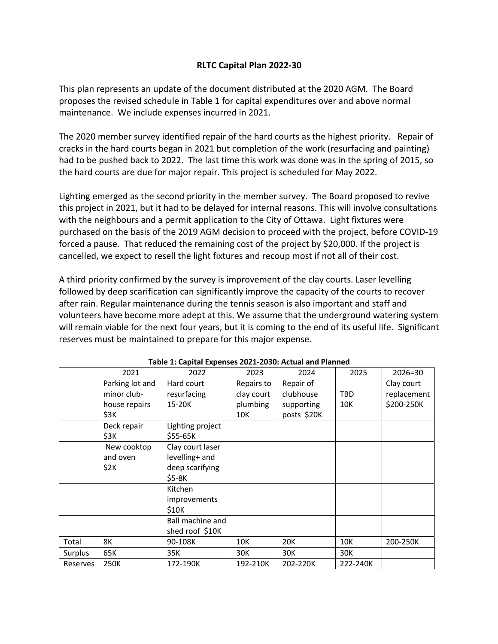## **RLTC Capital Plan 2022-30**

This plan represents an update of the document distributed at the 2020 AGM. The Board proposes the revised schedule in Table 1 for capital expenditures over and above normal maintenance. We include expenses incurred in 2021.

The 2020 member survey identified repair of the hard courts as the highest priority. Repair of cracks in the hard courts began in 2021 but completion of the work (resurfacing and painting) had to be pushed back to 2022. The last time this work was done was in the spring of 2015, so the hard courts are due for major repair. This project is scheduled for May 2022.

Lighting emerged as the second priority in the member survey. The Board proposed to revive this project in 2021, but it had to be delayed for internal reasons. This will involve consultations with the neighbours and a permit application to the City of Ottawa. Light fixtures were purchased on the basis of the 2019 AGM decision to proceed with the project, before COVID-19 forced a pause. That reduced the remaining cost of the project by \$20,000. If the project is cancelled, we expect to resell the light fixtures and recoup most if not all of their cost.

A third priority confirmed by the survey is improvement of the clay courts. Laser levelling followed by deep scarification can significantly improve the capacity of the courts to recover after rain. Regular maintenance during the tennis season is also important and staff and volunteers have become more adept at this. We assume that the underground watering system will remain viable for the next four years, but it is coming to the end of its useful life. Significant reserves must be maintained to prepare for this major expense.

|          | 2021            | 2022             | 2023       | 2024        | 2025       | $2026 = 30$ |
|----------|-----------------|------------------|------------|-------------|------------|-------------|
|          | Parking lot and | Hard court       | Repairs to | Repair of   |            | Clay court  |
|          | minor club-     | resurfacing      | clay court | clubhouse   | <b>TBD</b> | replacement |
|          | house repairs   | 15-20K           | plumbing   | supporting  | 10K        | \$200-250K  |
|          | \$3K            |                  | 10K        | posts \$20K |            |             |
|          | Deck repair     | Lighting project |            |             |            |             |
|          | \$3K            | \$55-65K         |            |             |            |             |
|          | New cooktop     | Clay court laser |            |             |            |             |
|          | and oven        | levelling+ and   |            |             |            |             |
|          | \$2K            | deep scarifying  |            |             |            |             |
|          |                 | $$5-8K$          |            |             |            |             |
|          |                 | Kitchen          |            |             |            |             |
|          |                 | improvements     |            |             |            |             |
|          |                 | \$10K            |            |             |            |             |
|          |                 | Ball machine and |            |             |            |             |
|          |                 | shed roof \$10K  |            |             |            |             |
| Total    | 8К              | 90-108K          | 10K        | 20K         | 10K        | 200-250K    |
| Surplus  | 65K             | 35K              | 30K        | 30K         | 30K        |             |
| Reserves | 250K            | 172-190K         | 192-210K   | 202-220K    | 222-240K   |             |

|  | Table 1: Capital Expenses 2021-2030: Actual and Planned |
|--|---------------------------------------------------------|
|--|---------------------------------------------------------|